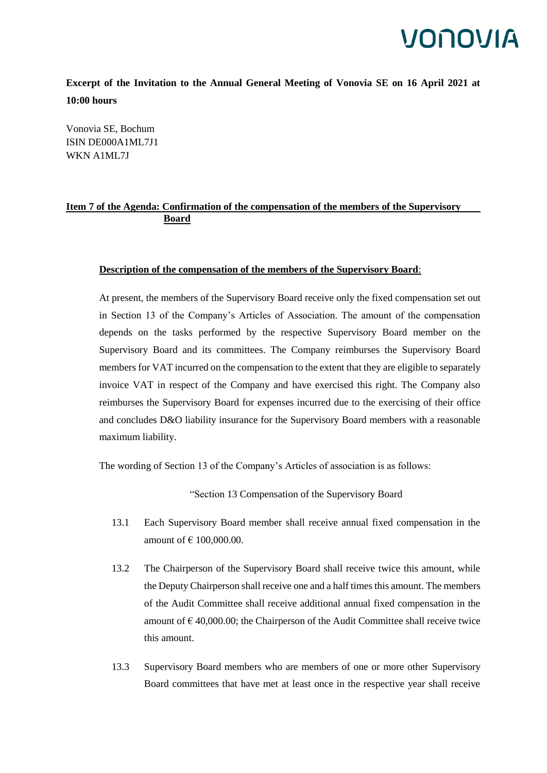### VONOVIA

**Excerpt of the Invitation to the Annual General Meeting of Vonovia SE on 16 April 2021 at 10:00 hours**

Vonovia SE, Bochum ISIN DE000A1ML7J1 WKN A1ML7J

### **Item 7 of the Agenda: Confirmation of the compensation of the members of the Supervisory Board**

#### **Description of the compensation of the members of the Supervisory Board**:

At present, the members of the Supervisory Board receive only the fixed compensation set out in Section 13 of the Company's Articles of Association. The amount of the compensation depends on the tasks performed by the respective Supervisory Board member on the Supervisory Board and its committees. The Company reimburses the Supervisory Board members for VAT incurred on the compensation to the extent that they are eligible to separately invoice VAT in respect of the Company and have exercised this right. The Company also reimburses the Supervisory Board for expenses incurred due to the exercising of their office and concludes D&O liability insurance for the Supervisory Board members with a reasonable maximum liability.

The wording of Section 13 of the Company's Articles of association is as follows:

"Section 13 Compensation of the Supervisory Board

- 13.1 Each Supervisory Board member shall receive annual fixed compensation in the amount of  $\in$  100,000.00.
- 13.2 The Chairperson of the Supervisory Board shall receive twice this amount, while the Deputy Chairperson shall receive one and a half times this amount. The members of the Audit Committee shall receive additional annual fixed compensation in the amount of  $\epsilon$  40,000.00; the Chairperson of the Audit Committee shall receive twice this amount.
- 13.3 Supervisory Board members who are members of one or more other Supervisory Board committees that have met at least once in the respective year shall receive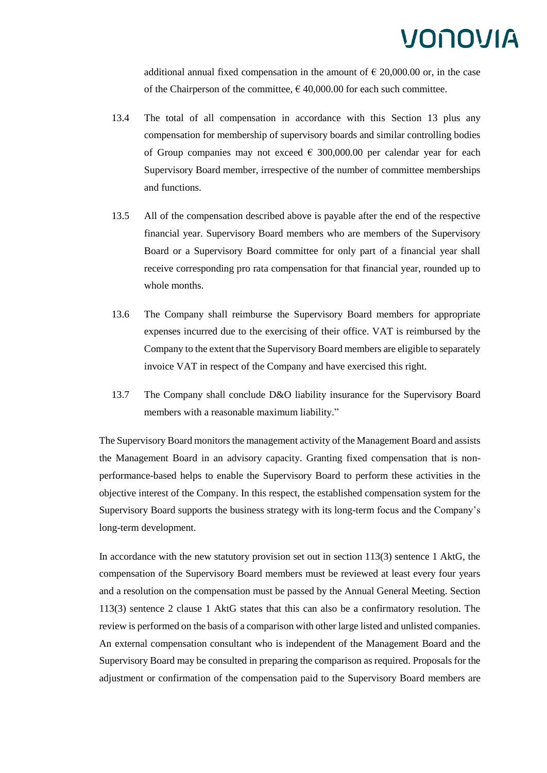# VONOVIA

additional annual fixed compensation in the amount of  $\epsilon$  20,000.00 or, in the case of the Chairperson of the committee,  $\epsilon$  40,000.00 for each such committee.

- 13.4 The total of all compensation in accordance with this Section 13 plus any compensation for membership of supervisory boards and similar controlling bodies of Group companies may not exceed  $\epsilon$  300,000.00 per calendar year for each Supervisory Board member, irrespective of the number of committee memberships and functions.
- 13.5 All of the compensation described above is payable after the end of the respective financial year. Supervisory Board members who are members of the Supervisory Board or a Supervisory Board committee for only part of a financial year shall receive corresponding pro rata compensation for that financial year, rounded up to whole months.
- 13.6 The Company shall reimburse the Supervisory Board members for appropriate expenses incurred due to the exercising of their office. VAT is reimbursed by the Company to the extent that the Supervisory Board members are eligible to separately invoice VAT in respect of the Company and have exercised this right.
- 13.7 The Company shall conclude D&O liability insurance for the Supervisory Board members with a reasonable maximum liability."

The Supervisory Board monitors the management activity of the Management Board and assists the Management Board in an advisory capacity. Granting fixed compensation that is nonperformance-based helps to enable the Supervisory Board to perform these activities in the objective interest of the Company. In this respect, the established compensation system for the Supervisory Board supports the business strategy with its long-term focus and the Company's long-term development.

In accordance with the new statutory provision set out in section 113(3) sentence 1 AktG, the compensation of the Supervisory Board members must be reviewed at least every four years and a resolution on the compensation must be passed by the Annual General Meeting. Section 113(3) sentence 2 clause 1 AktG states that this can also be a confirmatory resolution. The review is performed on the basis of a comparison with other large listed and unlisted companies. An external compensation consultant who is independent of the Management Board and the Supervisory Board may be consulted in preparing the comparison as required. Proposals for the adjustment or confirmation of the compensation paid to the Supervisory Board members are